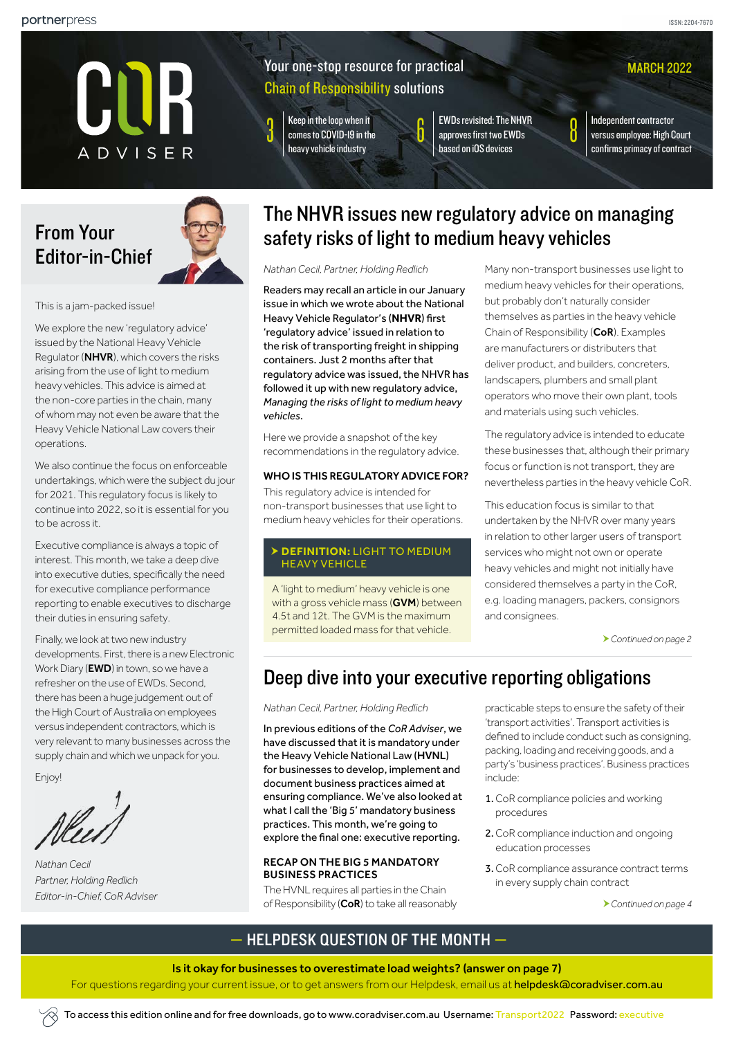

## Your one-stop resource for practical Chain of Responsibility solutions

 $\int$   $\int$  Keep in the loop when it<br>comes to COVID-19 in the [heavy vehicle industry](#page-2-0)

**EWDs revisited: The NHVR** [approves first two EWDs](#page-5-0)  [based on iOS devices](#page-5-0)

Independent contractor [versus employee: High Court](#page-7-0)  [confirms primacy of contract](#page-7-0)

**MARCH 2022** 

# From Your Editor-in-Chief



This is a jam-packed issue!

We explore the new 'regulatory advice' issued by the National Heavy Vehicle Regulator (NHVR), which covers the risks arising from the use of light to medium heavy vehicles. This advice is aimed at the non-core parties in the chain, many of whom may not even be aware that the Heavy Vehicle National Law covers their operations.

We also continue the focus on enforceable undertakings, which were the subject du jour for 2021. This regulatory focus is likely to continue into 2022, so it is essential for you to be across it.

Executive compliance is always a topic of interest. This month, we take a deep dive into executive duties, specifically the need for executive compliance performance reporting to enable executives to discharge their duties in ensuring safety.

Finally, we look at two new industry developments. First, there is a new Electronic Work Diary (**EWD**) in town, so we have a refresher on the use of EWDs. Second, there has been a huge judgement out of the High Court of Australia on employees versus independent contractors, which is very relevant to many businesses across the supply chain and which we unpack for you.

Enjoy!

*Nathan Cecil Partner, Holding Redlich Editor-in-Chief, CoR Adviser* 

# <span id="page-0-0"></span>The NHVR issues new regulatory advice on managing safety risks of light to medium heavy vehicles

*Nathan Cecil, Partner, Holding Redlich*

Readers may recall an article in our January issue in which we wrote about the National Heavy Vehicle Regulator's (**NHVR**) first 'regulatory advice' issued in relation to the risk of transporting freight in shipping containers. Just 2 months after that regulatory advice was issued, the NHVR has followed it up with new regulatory advice, *Managing the risks of light to medium heavy vehicles*.

Here we provide a snapshot of the key recommendations in the regulatory advice.

### WHO IS THIS REGULATORY ADVICE FOR?

This regulatory advice is intended for non-transport businesses that use light to medium heavy vehicles for their operations.

### **DEFINITION:** LIGHT TO MEDIUM HEAVY VEHICLE

A 'light to medium' heavy vehicle is one with a gross vehicle mass (GVM) between 4.5t and 12t. The GVM is the maximum permitted loaded mass for that vehicle.

Many non-transport businesses use light to medium heavy vehicles for their operations, but probably don't naturally consider themselves as parties in the heavy vehicle Chain of Responsibility (CoR). Examples are manufacturers or distributers that deliver product, and builders, concreters, landscapers, plumbers and small plant operators who move their own plant, tools and materials using such vehicles.

The regulatory advice is intended to educate these businesses that, although their primary focus or function is not transport, they are nevertheless parties in the heavy vehicle CoR.

This education focus is similar to that undertaken by the NHVR over many years in relation to other larger users of transport services who might not own or operate heavy vehicles and might not initially have considered themselves a party in the CoR, e.g. loading managers, packers, consignors and consignees.

*[Continued on page 2](#page-1-0)*

# <span id="page-0-1"></span>Deep dive into your executive reporting obligations

### *Nathan Cecil, Partner, Holding Redlich*

In previous editions of the *CoR Adviser*, we have discussed that it is mandatory under the Heavy Vehicle National Law (HVNL) for businesses to develop, implement and document business practices aimed at ensuring compliance. We've also looked at what I call the 'Big 5' mandatory business practices. This month, we're going to explore the final one: executive reporting.

### RECAP ON THE BIG 5 MANDATORY BUSINESS PRACTICES

The HVNL requires all parties in the Chain of Responsibility (CoR) to take all reasonably practicable steps to ensure the safety of their 'transport activities'. Transport activities is defined to include conduct such as consigning, packing, loading and receiving goods, and a party's 'business practices'. Business practices include:

- 1.CoR compliance policies and working procedures
- 2.CoR compliance induction and ongoing education processes
- 3.CoR compliance assurance contract terms in every supply chain contract

*[Continued on page 4](#page-3-0)*

## — HELPDESK QUESTION OF THE MONTH —

#### Is it okay for businesses to overestimate load weights? [\(answer on page 7\)](#page-6-0)

For questions regarding your current issue, or to get answers from our Helpdesk, email us at [helpdesk@coradviser.com.au](mailto:helpdesk%40coradviser.com.au?subject=)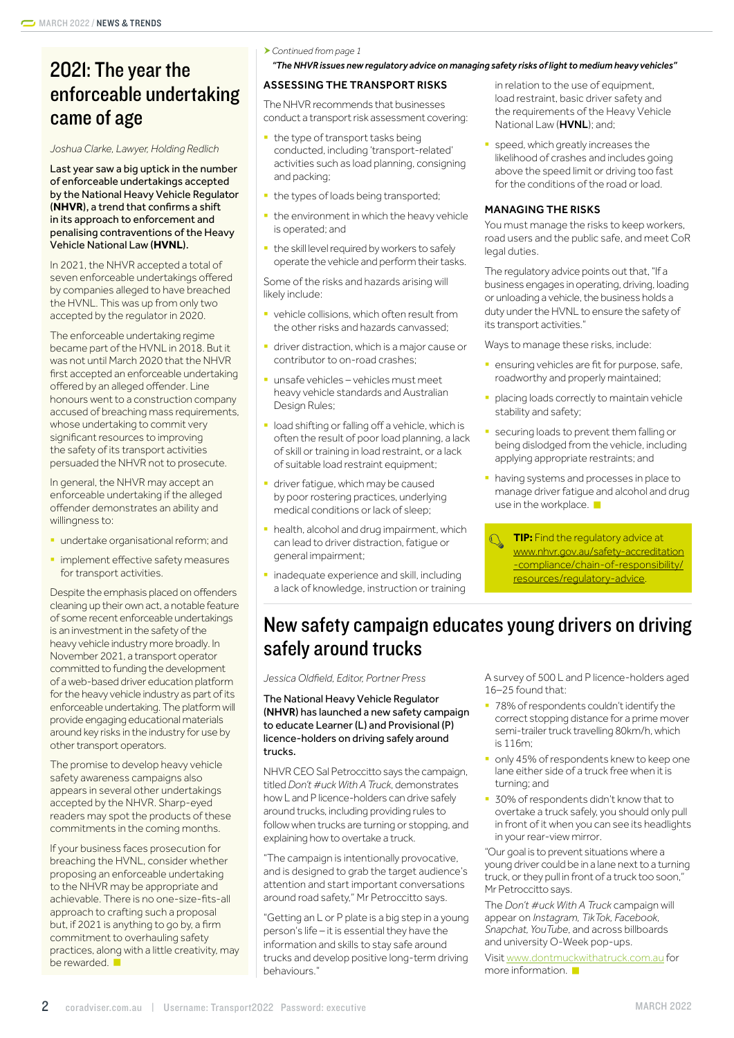# 2021: The year the enforceable undertaking came of age

*Joshua Clarke, Lawyer, Holding Redlich*

Last year saw a big uptick in the number of enforceable undertakings accepted by the National Heavy Vehicle Regulator (**NHVR**), a trend that confirms a shift in its approach to enforcement and penalising contraventions of the Heavy Vehicle National Law (**HVNL**).

In 2021, the NHVR accepted a total of seven enforceable undertakings offered by companies alleged to have breached the HVNL. This was up from only two accepted by the regulator in 2020.

The enforceable undertaking regime became part of the HVNL in 2018. But it was not until March 2020 that the NHVR first accepted an enforceable undertaking offered by an alleged offender. Line honours went to a construction company accused of breaching mass requirements, whose undertaking to commit very significant resources to improving the safety of its transport activities persuaded the NHVR not to prosecute.

In general, the NHVR may accept an enforceable undertaking if the alleged offender demonstrates an ability and willingness to:

- **undertake organisational reform; and**
- **implement effective safety measures** for transport activities.

Despite the emphasis placed on offenders cleaning up their own act, a notable feature of some recent enforceable undertakings is an investment in the safety of the heavy vehicle industry more broadly. In November 2021, a transport operator committed to funding the development of a web-based driver education platform for the heavy vehicle industry as part of its enforceable undertaking. The platform will provide engaging educational materials around key risks in the industry for use by other transport operators.

The promise to develop heavy vehicle safety awareness campaigns also appears in several other undertakings accepted by the NHVR. Sharp-eyed readers may spot the products of these commitments in the coming months.

If your business faces prosecution for breaching the HVNL, consider whether proposing an enforceable undertaking to the NHVR may be appropriate and achievable. There is no one-size-fits-all approach to crafting such a proposal but, if 2021 is anything to go by, a firm commitment to overhauling safety practices, along with a little creativity, may be rewarded.

<span id="page-1-0"></span>*Continued from page 1* 

*["The NHVR issues new regulatory advice on managing safety risks of light to medium heavy vehicles"](#page-0-0)*

### ASSESSING THE TRANSPORT RISKS

The NHVR recommends that businesses conduct a transport risk assessment covering:

- **the type of transport tasks being** conducted, including 'transport-related' activities such as load planning, consigning and packing;
- **the types of loads being transported;**
- **the environment in which the heavy vehicle** is operated; and
- **•** the skill level required by workers to safely operate the vehicle and perform their tasks.

Some of the risks and hazards arising will likely include:

- **•** vehicle collisions, which often result from the other risks and hazards canvassed;
- **•** driver distraction, which is a major cause or contributor to on-road crashes;
- § unsafe vehicles vehicles must meet heavy vehicle standards and Australian Design Rules;
- **load shifting or falling off a vehicle, which is** often the result of poor load planning, a lack of skill or training in load restraint, or a lack of suitable load restraint equipment;
- driver fatique, which may be caused by poor rostering practices, underlying medical conditions or lack of sleep;
- **health, alcohol and drug impairment, which** can lead to driver distraction, fatigue or general impairment;
- **inadequate experience and skill, including** a lack of knowledge, instruction or training

in relation to the use of equipment, load restraint, basic driver safety and the requirements of the Heavy Vehicle National Law (HVNL); and;

speed, which greatly increases the likelihood of crashes and includes going above the speed limit or driving too fast for the conditions of the road or load.

### MANAGING THE RISKS

You must manage the risks to keep workers, road users and the public safe, and meet CoR legal duties.

The regulatory advice points out that, "If a business engages in operating, driving, loading or unloading a vehicle, the business holds a duty under the HVNL to ensure the safety of its transport activities."

Ways to manage these risks, include:

- **ensuring vehicles are fit for purpose, safe,** roadworthy and properly maintained;
- § placing loads correctly to maintain vehicle stability and safety;
- securing loads to prevent them falling or being dislodged from the vehicle, including applying appropriate restraints; and
- **having systems and processes in place to** manage driver fatigue and alcohol and drug use in the workplace.
	- **TIP:** Find the regulatory advice at [www.nhvr.gov.au/safety-accreditation](https://www.nhvr.gov.au/safety-accreditation-compliance/chain-of-responsibility/resources/regulatory-advice) [-compliance/chain-of-responsibility/](https://www.nhvr.gov.au/safety-accreditation-compliance/chain-of-responsibility/resources/regulatory-advice) [resources/regulatory-advice.](https://www.nhvr.gov.au/safety-accreditation-compliance/chain-of-responsibility/resources/regulatory-advice)

# New safety campaign educates young drivers on driving safely around trucks

*Jessica Oldfield, Editor, Portner Press*

The National Heavy Vehicle Regulator (NHVR) has launched a new safety campaign to educate Learner (L) and Provisional (P) licence-holders on driving safely around trucks.

NHVR CEO Sal Petroccitto says the campaign, titled *Don't #uck With A Truck*, demonstrates how L and P licence-holders can drive safely around trucks, including providing rules to follow when trucks are turning or stopping, and explaining how to overtake a truck.

"The campaign is intentionally provocative, and is designed to grab the target audience's attention and start important conversations around road safety," Mr Petroccitto says.

"Getting an L or P plate is a big step in a young person's life – it is essential they have the information and skills to stay safe around trucks and develop positive long-term driving behaviours."

A survey of 500 L and P licence-holders aged 16–25 found that:

- 78% of respondents couldn't identify the correct stopping distance for a prime mover semi-trailer truck travelling 80km/h, which is 116m;
- only 45% of respondents knew to keep one lane either side of a truck free when it is turning; and
- § 30% of respondents didn't know that to overtake a truck safely, you should only pull in front of it when you can see its headlights in your rear-view mirror.

"Our goal is to prevent situations where a young driver could be in a lane next to a turning truck, or they pull in front of a truck too soon," Mr Petroccitto says.

The *Don't #uck With A Truck* campaign will appear on *Instagram, TikTok, Facebook, Snapchat, YouTube*, and across billboards and university O-Week pop-ups.

Visit [www.dontmuckwithatruck.com.au](http://www.dontmuckwithatruck.com.au) for more information.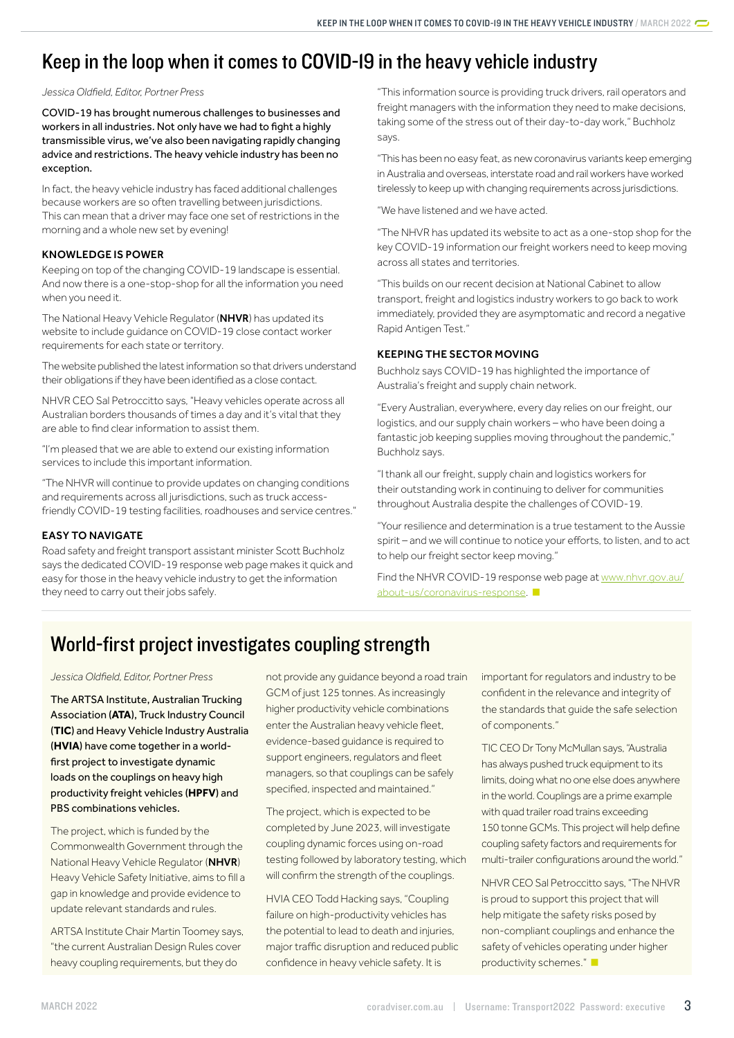# <span id="page-2-0"></span>Keep in the loop when it comes to COVID-19 in the heavy vehicle industry

*Jessica Oldfield, Editor, Portner Press*

COVID-19 has brought numerous challenges to businesses and workers in all industries. Not only have we had to fight a highly transmissible virus, we've also been navigating rapidly changing advice and restrictions. The heavy vehicle industry has been no exception.

In fact, the heavy vehicle industry has faced additional challenges because workers are so often travelling between jurisdictions. This can mean that a driver may face one set of restrictions in the morning and a whole new set by evening!

### KNOWLEDGE IS POWER

Keeping on top of the changing COVID-19 landscape is essential. And now there is a one-stop-shop for all the information you need when you need it.

The National Heavy Vehicle Regulator (NHVR) has updated its website to include guidance on COVID-19 close contact worker requirements for each state or territory.

The website published the latest information so that drivers understand their obligations if they have been identified as a close contact.

NHVR CEO Sal Petroccitto says, "Heavy vehicles operate across all Australian borders thousands of times a day and it's vital that they are able to find clear information to assist them.

"I'm pleased that we are able to extend our existing information services to include this important information.

"The NHVR will continue to provide updates on changing conditions and requirements across all jurisdictions, such as truck accessfriendly COVID-19 testing facilities, roadhouses and service centres."

### EASY TO NAVIGATE

Road safety and freight transport assistant minister Scott Buchholz says the dedicated COVID-19 response web page makes it quick and easy for those in the heavy vehicle industry to get the information they need to carry out their jobs safely.

"This information source is providing truck drivers, rail operators and freight managers with the information they need to make decisions, taking some of the stress out of their day-to-day work," Buchholz says.

"This has been no easy feat, as new coronavirus variants keep emerging in Australia and overseas, interstate road and rail workers have worked tirelessly to keep up with changing requirements across jurisdictions.

"We have listened and we have acted.

"The NHVR has updated its website to act as a one-stop shop for the key COVID-19 information our freight workers need to keep moving across all states and territories.

"This builds on our recent decision at National Cabinet to allow transport, freight and logistics industry workers to go back to work immediately, provided they are asymptomatic and record a negative Rapid Antigen Test."

### KEEPING THE SECTOR MOVING

Buchholz says COVID-19 has highlighted the importance of Australia's freight and supply chain network.

"Every Australian, everywhere, every day relies on our freight, our logistics, and our supply chain workers – who have been doing a fantastic job keeping supplies moving throughout the pandemic," Buchholz says.

"I thank all our freight, supply chain and logistics workers for their outstanding work in continuing to deliver for communities throughout Australia despite the challenges of COVID-19.

"Your resilience and determination is a true testament to the Aussie spirit – and we will continue to notice your efforts, to listen, and to act to help our freight sector keep moving."

Find the NHVR COVID-19 response web page at [www.nhvr.gov.au/](http://www.nhvr.gov.au/about-us/coronavirus-response) [about-us/coronavirus-response.](http://www.nhvr.gov.au/about-us/coronavirus-response)

# World-first project investigates coupling strength

*Jessica Oldfield, Editor, Portner Press*

The ARTSA Institute, Australian Trucking Association (**ATA**), Truck Industry Council (**TIC**) and Heavy Vehicle Industry Australia (**HVIA**) have come together in a worldfirst project to investigate dynamic loads on the couplings on heavy high productivity freight vehicles (**HPFV**) and PBS combinations vehicles.

The project, which is funded by the Commonwealth Government through the National Heavy Vehicle Regulator (NHVR) Heavy Vehicle Safety Initiative, aims to fill a gap in knowledge and provide evidence to update relevant standards and rules.

ARTSA Institute Chair Martin Toomey says, "the current Australian Design Rules cover heavy coupling requirements, but they do

not provide any guidance beyond a road train GCM of just 125 tonnes. As increasingly higher productivity vehicle combinations enter the Australian heavy vehicle fleet, evidence-based guidance is required to support engineers, regulators and fleet managers, so that couplings can be safely specified, inspected and maintained."

The project, which is expected to be completed by June 2023, will investigate coupling dynamic forces using on-road testing followed by laboratory testing, which will confirm the strength of the couplings.

HVIA CEO Todd Hacking says, "Coupling failure on high-productivity vehicles has the potential to lead to death and injuries, major traffic disruption and reduced public confidence in heavy vehicle safety. It is

important for regulators and industry to be confident in the relevance and integrity of the standards that guide the safe selection of components."

TIC CEO Dr Tony McMullan says, "Australia has always pushed truck equipment to its limits, doing what no one else does anywhere in the world. Couplings are a prime example with quad trailer road trains exceeding 150 tonne GCMs. This project will help define coupling safety factors and requirements for multi-trailer configurations around the world."

NHVR CEO Sal Petroccitto says, "The NHVR is proud to support this project that will help mitigate the safety risks posed by non-compliant couplings and enhance the safety of vehicles operating under higher productivity schemes."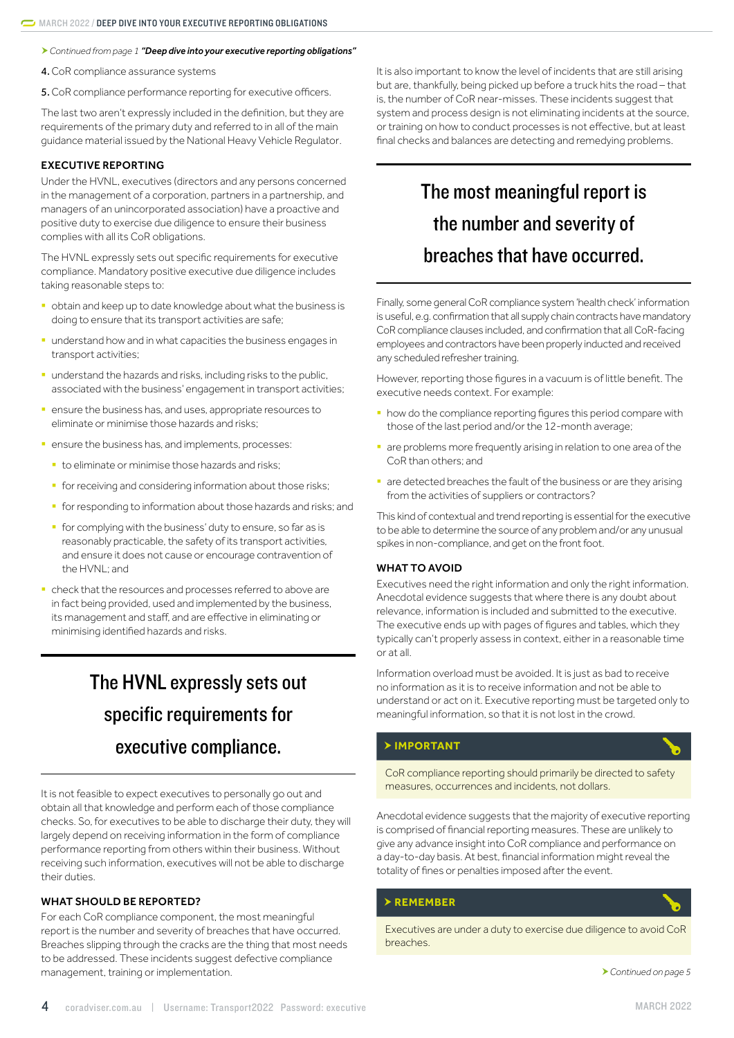<span id="page-3-0"></span>*Continued from page 1 "[Deep dive into your executive reporting obligations](#page-0-1)"*

4.CoR compliance assurance systems

5.CoR compliance performance reporting for executive officers.

The last two aren't expressly included in the definition, but they are requirements of the primary duty and referred to in all of the main guidance material issued by the National Heavy Vehicle Regulator.

#### EXECUTIVE REPORTING

Under the HVNL, executives (directors and any persons concerned in the management of a corporation, partners in a partnership, and managers of an unincorporated association) have a proactive and positive duty to exercise due diligence to ensure their business complies with all its CoR obligations.

The HVNL expressly sets out specific requirements for executive compliance. Mandatory positive executive due diligence includes taking reasonable steps to:

- § obtain and keep up to date knowledge about what the business is doing to ensure that its transport activities are safe;
- understand how and in what capacities the business engages in transport activities;
- understand the hazards and risks, including risks to the public, associated with the business' engagement in transport activities;
- **•** ensure the business has, and uses, appropriate resources to eliminate or minimise those hazards and risks;
- **•** ensure the business has, and implements, processes:
	- to eliminate or minimise those hazards and risks;
	- for receiving and considering information about those risks;
	- **•** for responding to information about those hazards and risks; and
	- § for complying with the business' duty to ensure, so far as is reasonably practicable, the safety of its transport activities, and ensure it does not cause or encourage contravention of the HVNL; and
- check that the resources and processes referred to above are in fact being provided, used and implemented by the business, its management and staff, and are effective in eliminating or minimising identified hazards and risks.

# The HVNL expressly sets out specific requirements for executive compliance.

It is not feasible to expect executives to personally go out and obtain all that knowledge and perform each of those compliance checks. So, for executives to be able to discharge their duty, they will largely depend on receiving information in the form of compliance performance reporting from others within their business. Without receiving such information, executives will not be able to discharge their duties.

### WHAT SHOULD BE REPORTED?

For each CoR compliance component, the most meaningful report is the number and severity of breaches that have occurred. Breaches slipping through the cracks are the thing that most needs to be addressed. These incidents suggest defective compliance management, training or implementation.

It is also important to know the level of incidents that are still arising but are, thankfully, being picked up before a truck hits the road – that is, the number of CoR near-misses. These incidents suggest that system and process design is not eliminating incidents at the source, or training on how to conduct processes is not effective, but at least final checks and balances are detecting and remedying problems.

# The most meaningful report is the number and severity of breaches that have occurred.

Finally, some general CoR compliance system 'health check' information is useful, e.g. confirmation that all supply chain contracts have mandatory CoR compliance clauses included, and confirmation that all CoR-facing employees and contractors have been properly inducted and received any scheduled refresher training.

However, reporting those figures in a vacuum is of little benefit. The executive needs context. For example:

- **how do the compliance reporting figures this period compare with** those of the last period and/or the 12-month average;
- **a** are problems more frequently arising in relation to one area of the CoR than others; and
- are detected breaches the fault of the business or are they arising from the activities of suppliers or contractors?

This kind of contextual and trend reporting is essential for the executive to be able to determine the source of any problem and/or any unusual spikes in non-compliance, and get on the front foot.

### WHAT TO AVOID

Executives need the right information and only the right information. Anecdotal evidence suggests that where there is any doubt about relevance, information is included and submitted to the executive. The executive ends up with pages of figures and tables, which they typically can't properly assess in context, either in a reasonable time or at all.

Information overload must be avoided. It is just as bad to receive no information as it is to receive information and not be able to understand or act on it. Executive reporting must be targeted only to meaningful information, so that it is not lost in the crowd.

### **IMPORTANT**

CoR compliance reporting should primarily be directed to safety measures, occurrences and incidents, not dollars.

Anecdotal evidence suggests that the majority of executive reporting is comprised of financial reporting measures. These are unlikely to give any advance insight into CoR compliance and performance on a day-to-day basis. At best, financial information might reveal the totality of fines or penalties imposed after the event.

### **REMEMBER**

Executives are under a duty to exercise due diligence to avoid CoR breaches.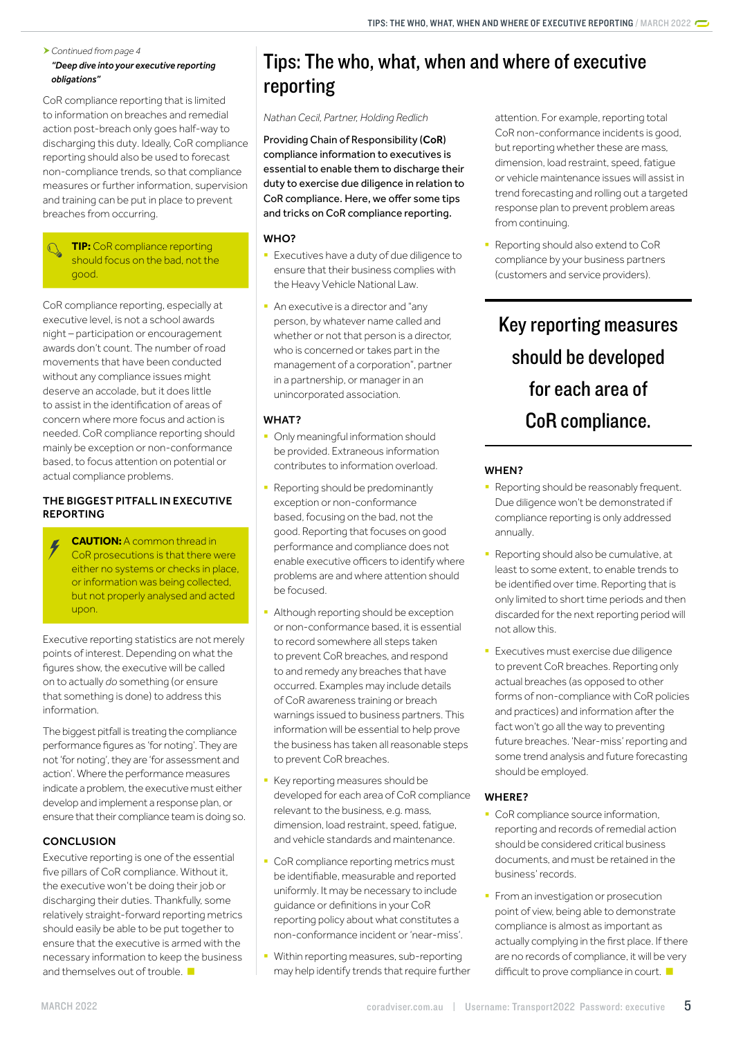### <span id="page-4-0"></span>*Continued from page 4 "[Deep dive into your executive reporting](#page-0-1)  [obligations](#page-0-1)"*

CoR compliance reporting that is limited to information on breaches and remedial action post-breach only goes half-way to discharging this duty. Ideally, CoR compliance reporting should also be used to forecast non-compliance trends, so that compliance measures or further information, supervision and training can be put in place to prevent breaches from occurring.

**TIP:** CoR compliance reporting should focus on the bad, not the good.

CoR compliance reporting, especially at executive level, is not a school awards night – participation or encouragement awards don't count. The number of road movements that have been conducted without any compliance issues might deserve an accolade, but it does little to assist in the identification of areas of concern where more focus and action is needed. CoR compliance reporting should mainly be exception or non-conformance based, to focus attention on potential or actual compliance problems.

### THE BIGGEST PITFALL IN EXECUTIVE REPORTING

**CAUTION:** A common thread in CoR prosecutions is that there were either no systems or checks in place, or information was being collected, but not properly analysed and acted upon.

Executive reporting statistics are not merely points of interest. Depending on what the figures show, the executive will be called on to actually *do* something (or ensure that something is done) to address this information.

The biggest pitfall is treating the compliance performance figures as 'for noting'. They are not 'for noting', they are 'for assessment and action'. Where the performance measures indicate a problem, the executive must either develop and implement a response plan, or ensure that their compliance team is doing so.

### **CONCLUSION**

Executive reporting is one of the essential five pillars of CoR compliance. Without it, the executive won't be doing their job or discharging their duties. Thankfully, some relatively straight-forward reporting metrics should easily be able to be put together to ensure that the executive is armed with the necessary information to keep the business and themselves out of trouble.

# <span id="page-4-1"></span>Tips: The who, what, when and where of executive reporting

*Nathan Cecil, Partner, Holding Redlich*

Providing Chain of Responsibility (CoR) compliance information to executives is essential to enable them to discharge their duty to exercise due diligence in relation to CoR compliance. Here, we offer some tips and tricks on CoR compliance reporting.

### WHO?

- Executives have a duty of due diligence to ensure that their business complies with the Heavy Vehicle National Law.
- An executive is a director and "any person, by whatever name called and whether or not that person is a director, who is concerned or takes part in the management of a corporation", partner in a partnership, or manager in an unincorporated association.

## WHAT?

- Only meaningful information should be provided. Extraneous information contributes to information overload.
- Reporting should be predominantly exception or non-conformance based, focusing on the bad, not the good. Reporting that focuses on good performance and compliance does not enable executive officers to identify where problems are and where attention should be focused.
- **Although reporting should be exception** or non-conformance based, it is essential to record somewhere all steps taken to prevent CoR breaches, and respond to and remedy any breaches that have occurred. Examples may include details of CoR awareness training or breach warnings issued to business partners. This information will be essential to help prove the business has taken all reasonable steps to prevent CoR breaches.
- Key reporting measures should be developed for each area of CoR compliance relevant to the business, e.g. mass, dimension, load restraint, speed, fatigue, and vehicle standards and maintenance.
- CoR compliance reporting metrics must be identifiable, measurable and reported uniformly. It may be necessary to include guidance or definitions in your CoR reporting policy about what constitutes a non-conformance incident or 'near-miss'.
- § Within reporting measures, sub-reporting may help identify trends that require further

attention. For example, reporting total CoR non-conformance incidents is good, but reporting whether these are mass, dimension, load restraint, speed, fatigue or vehicle maintenance issues will assist in trend forecasting and rolling out a targeted response plan to prevent problem areas from continuing.

Reporting should also extend to CoR compliance by your business partners (customers and service providers).

# Key reporting measures should be developed for each area of CoR compliance.

## WHEN?

- Reporting should be reasonably frequent. Due diligence won't be demonstrated if compliance reporting is only addressed annually.
- Reporting should also be cumulative, at least to some extent, to enable trends to be identified over time. Reporting that is only limited to short time periods and then discarded for the next reporting period will not allow this.
- **Executives must exercise due diligence** to prevent CoR breaches. Reporting only actual breaches (as opposed to other forms of non-compliance with CoR policies and practices) and information after the fact won't go all the way to preventing future breaches. 'Near-miss' reporting and some trend analysis and future forecasting should be employed.

## WHERE?

- CoR compliance source information, reporting and records of remedial action should be considered critical business documents, and must be retained in the business' records.
- **•** From an investigation or prosecution point of view, being able to demonstrate compliance is almost as important as actually complying in the first place. If there are no records of compliance, it will be very difficult to prove compliance in court.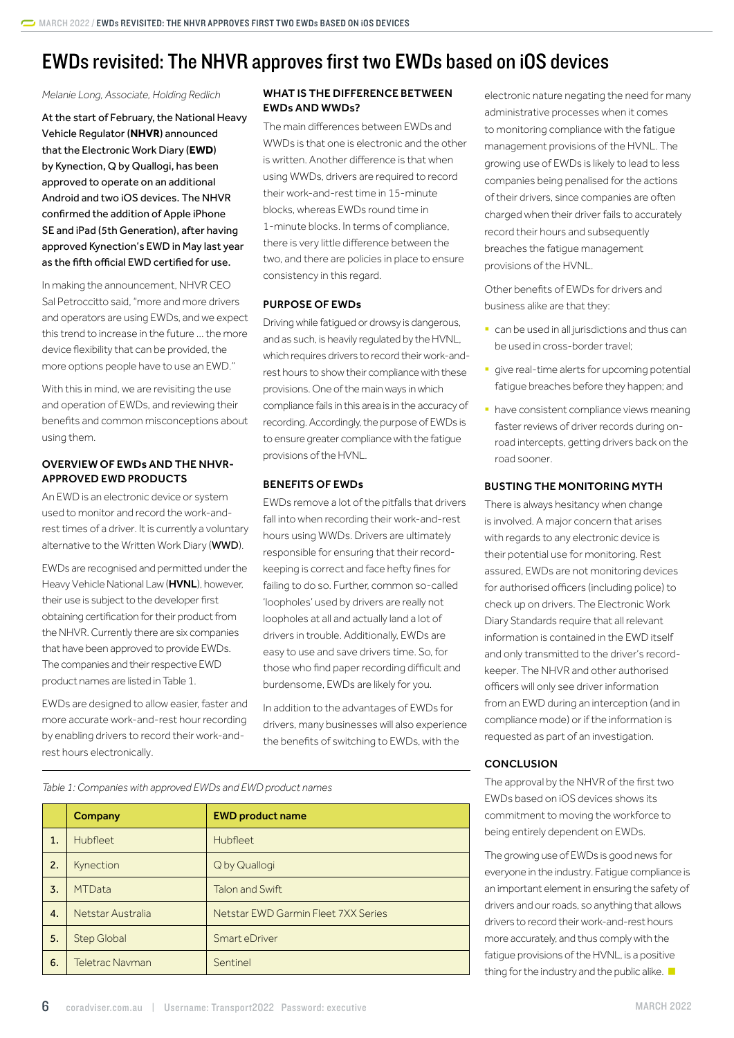# <span id="page-5-0"></span>EWDs revisited: The NHVR approves first two EWDs based on iOS devices

*Melanie Long, Associate, Holding Redlich* 

At the start of February, the National Heavy Vehicle Regulator (**NHVR**) announced that the Electronic Work Diary (**EWD**) by Kynection, Q by Quallogi, has been approved to operate on an additional Android and two iOS devices. The NHVR confirmed the addition of Apple iPhone SE and iPad (5th Generation), after having approved Kynection's EWD in May last year as the fifth official EWD certified for use.

In making the announcement, NHVR CEO Sal Petroccitto said, "more and more drivers and operators are using EWDs, and we expect this trend to increase in the future … the more device flexibility that can be provided, the more options people have to use an EWD."

With this in mind, we are revisiting the use and operation of EWDs, and reviewing their benefits and common misconceptions about using them.

### OVERVIEW OF EWDs AND THE NHVR-APPROVED EWD PRODUCTS

An EWD is an electronic device or system used to monitor and record the work-andrest times of a driver. It is currently a voluntary alternative to the Written Work Diary (WWD).

EWDs are recognised and permitted under the Heavy Vehicle National Law (HVNL), however, their use is subject to the developer first obtaining certification for their product from the NHVR. Currently there are six companies that have been approved to provide EWDs. The companies and their respective EWD product names are listed in Table 1.

EWDs are designed to allow easier, faster and more accurate work-and-rest hour recording by enabling drivers to record their work-andrest hours electronically.

### WHAT IS THE DIFFERENCE BETWEEN EWDs AND WWDs?

The main differences between EWDs and WWDs is that one is electronic and the other is written. Another difference is that when using WWDs, drivers are required to record their work-and-rest time in 15-minute blocks, whereas EWDs round time in 1-minute blocks. In terms of compliance, there is very little difference between the two, and there are policies in place to ensure consistency in this regard.

### PURPOSE OF EWDs

Driving while fatigued or drowsy is dangerous, and as such, is heavily regulated by the HVNL, which requires drivers to record their work-andrest hours to show their compliance with these provisions. One of the main ways in which compliance fails in this area is in the accuracy of recording. Accordingly, the purpose of EWDs is to ensure greater compliance with the fatigue provisions of the HVNL.

### BENEFITS OF EWDs

EWDs remove a lot of the pitfalls that drivers fall into when recording their work-and-rest hours using WWDs. Drivers are ultimately responsible for ensuring that their recordkeeping is correct and face hefty fines for failing to do so. Further, common so-called 'loopholes' used by drivers are really not loopholes at all and actually land a lot of drivers in trouble. Additionally, EWDs are easy to use and save drivers time. So, for those who find paper recording difficult and burdensome, EWDs are likely for you.

In addition to the advantages of EWDs for drivers, many businesses will also experience the benefits of switching to EWDs, with the

electronic nature negating the need for many administrative processes when it comes to monitoring compliance with the fatigue management provisions of the HVNL. The growing use of EWDs is likely to lead to less companies being penalised for the actions of their drivers, since companies are often charged when their driver fails to accurately record their hours and subsequently breaches the fatigue management provisions of the HVNL.

Other benefits of EWDs for drivers and business alike are that they:

- can be used in all jurisdictions and thus can be used in cross-border travel;
- **•** give real-time alerts for upcoming potential fatigue breaches before they happen; and
- **have consistent compliance views meaning** faster reviews of driver records during onroad intercepts, getting drivers back on the road sooner.

### BUSTING THE MONITORING MYTH

There is always hesitancy when change is involved. A major concern that arises with regards to any electronic device is their potential use for monitoring. Rest assured, EWDs are not monitoring devices for authorised officers (including police) to check up on drivers. The Electronic Work Diary Standards require that all relevant information is contained in the EWD itself and only transmitted to the driver's recordkeeper. The NHVR and other authorised officers will only see driver information from an EWD during an interception (and in compliance mode) or if the information is requested as part of an investigation.

### **CONCLUSION**

The approval by the NHVR of the first two EWDs based on iOS devices shows its commitment to moving the workforce to being entirely dependent on EWDs.

The growing use of EWDs is good news for everyone in the industry. Fatigue compliance is an important element in ensuring the safety of drivers and our roads, so anything that allows drivers to record their work-and-rest hours more accurately, and thus comply with the fatigue provisions of the HVNL, is a positive thing for the industry and the public alike.

*Table 1: Companies with approved EWDs and EWD product names*

|    | Company                | <b>EWD product name</b>             |
|----|------------------------|-------------------------------------|
| 1. | <b>Hubfleet</b>        | <b>Hubfleet</b>                     |
| 2. | Kynection              | Q by Quallogi                       |
| 3. | <b>MTData</b>          | <b>Talon and Swift</b>              |
| 4. | Netstar Australia      | Netstar EWD Garmin Fleet 7XX Series |
| 5. | <b>Step Global</b>     | Smart eDriver                       |
| 6. | <b>Teletrac Navman</b> | Sentinel                            |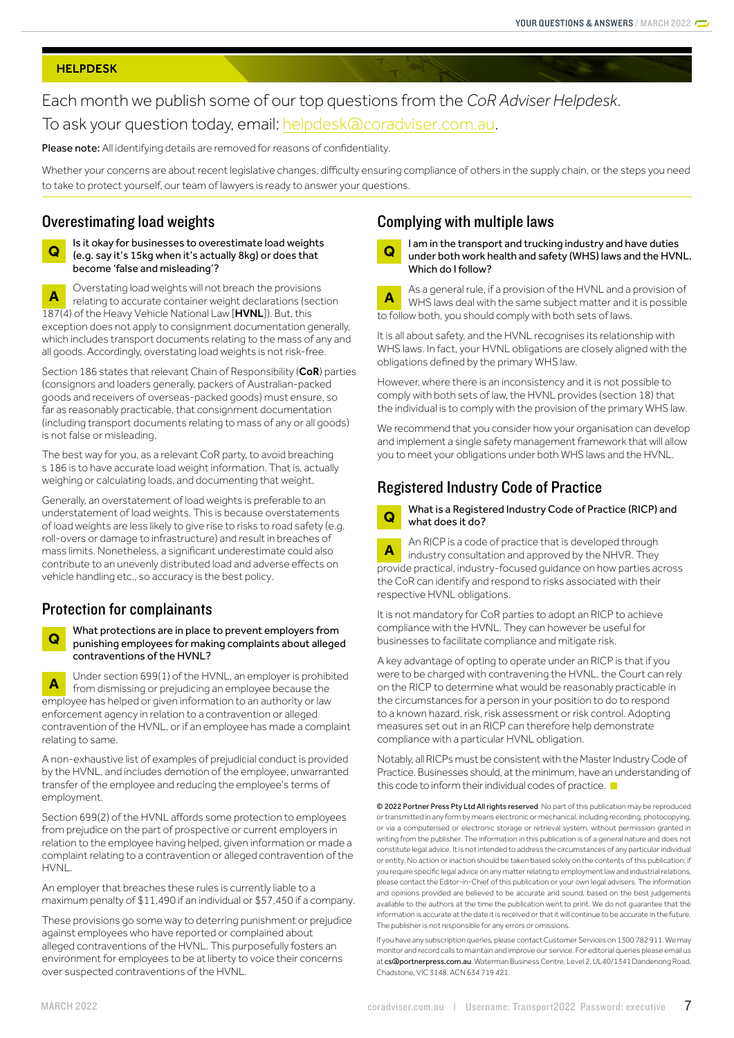#### <span id="page-6-0"></span>**HELPDESK**

# Each month we publish some of our top questions from the *CoR Adviser Helpdesk*. To ask your question today, email: [helpdesk@coradviser.com.au](mailto:helpdesk%40coradviser.com.au?subject=).

Please note: All identifying details are removed for reasons of confidentiality.

Whether your concerns are about recent legislative changes, difficulty ensuring compliance of others in the supply chain, or the steps you need to take to protect yourself, our team of lawyers is ready to answer your questions.

## Overestimating load weights

**Q** Is it okay for businesses to overestimate load weights (e.g. say it's 15kg when it's actually 8kg) or does that become 'false and misleading'?

**A** Overstating load weights will not breach the provisions<br> **A** Polating to accurate container weight declarations (sect relating to accurate container weight declarations (section 187(4) of the Heavy Vehicle National Law [HVNL]). But, this exception does not apply to consignment documentation generally, which includes transport documents relating to the mass of any and all goods. Accordingly, overstating load weights is not risk-free.

Section 186 states that relevant Chain of Responsibility (CoR) parties (consignors and loaders generally, packers of Australian-packed goods and receivers of overseas-packed goods) must ensure, so far as reasonably practicable, that consignment documentation (including transport documents relating to mass of any or all goods) is not false or misleading.

The best way for you, as a relevant CoR party, to avoid breaching s 186 is to have accurate load weight information. That is, actually weighing or calculating loads, and documenting that weight.

Generally, an overstatement of load weights is preferable to an understatement of load weights. This is because overstatements of load weights are less likely to give rise to risks to road safety (e.g. roll-overs or damage to infrastructure) and result in breaches of mass limits. Nonetheless, a significant underestimate could also contribute to an unevenly distributed load and adverse effects on vehicle handling etc., so accuracy is the best policy.

### Protection for complainants

**Q** What protections are in place to prevent employers from punishing employees for making complaints about alleged contraventions of the HVNL?

**A** Under section 699(1) of the HVNL, an employer is prohibited<br>from dismissing an employer and provide because the from dismissing or prejudicing an employee because the employee has helped or given information to an authority or law enforcement agency in relation to a contravention or alleged contravention of the HVNL, or if an employee has made a complaint relating to same.

A non-exhaustive list of examples of prejudicial conduct is provided by the HVNL, and includes demotion of the employee, unwarranted transfer of the employee and reducing the employee's terms of employment.

Section 699(2) of the HVNL affords some protection to employees from prejudice on the part of prospective or current employers in relation to the employee having helped, given information or made a complaint relating to a contravention or alleged contravention of the HVNL.

An employer that breaches these rules is currently liable to a maximum penalty of \$11,490 if an individual or \$57,450 if a company.

These provisions go some way to deterring punishment or prejudice against employees who have reported or complained about alleged contraventions of the HVNL. This purposefully fosters an environment for employees to be at liberty to voice their concerns over suspected contraventions of the HVNL.

## Complying with multiple laws

**Q** I am in the transport and trucking industry and have duties under both work health and safety (WHS) laws and the HVNL. Which do I follow?

**A** As a general rule, if a provision of the HVNL and a provision of WHS laws deal with the same subject matter and it is possible to follow both, you should comply with both sets of laws.

It is all about safety, and the HVNL recognises its relationship with WHS laws. In fact, your HVNL obligations are closely aligned with the obligations defined by the primary WHS law.

However, where there is an inconsistency and it is not possible to comply with both sets of law, the HVNL provides (section 18) that the individual is to comply with the provision of the primary WHS law.

We recommend that you consider how your organisation can develop and implement a single safety management framework that will allow you to meet your obligations under both WHS laws and the HVNL.

## Registered Industry Code of Practice

**Q** What is a Registered Industry Code of Practice (RICP) and what does it do?

**A** An RICP is a code of practice that is developed through industry consultation and approved by the NHVR. They provide practical, industry-focused guidance on how parties across the CoR can identify and respond to risks associated with their respective HVNL obligations.

It is not mandatory for CoR parties to adopt an RICP to achieve compliance with the HVNL. They can however be useful for businesses to facilitate compliance and mitigate risk.

A key advantage of opting to operate under an RICP is that if you were to be charged with contravening the HVNL, the Court can rely on the RICP to determine what would be reasonably practicable in the circumstances for a person in your position to do to respond to a known hazard, risk, risk assessment or risk control. Adopting measures set out in an RICP can therefore help demonstrate compliance with a particular HVNL obligation.

Notably, all RICPs must be consistent with the Master Industry Code of Practice. Businesses should, at the minimum, have an understanding of this code to inform their individual codes of practice.

© 2022 Portner Press Pty Ltd All rights reserved. No part of this publication may be reproduced or transmitted in any form by means electronic or mechanical, including recording, photocopying, or via a computerised or electronic storage or retrieval system, without permission granted in writing from the publisher. The information in this publication is of a general nature and does not constitute legal advice. It is not intended to address the circumstances of any particular individual or entity. No action or inaction should be taken based solely on the contents of this publication; if you require specific legal advice on any matter relating to employment law and industrial relations, please contact the Editor-in-Chief of this publication or your own legal advisers. The information and opinions provided are believed to be accurate and sound, based on the best judgements available to the authors at the time the publication went to print. We do not guarantee that the information is accurate at the date it is received or that it will continue to be accurate in the future. The publisher is not responsible for any errors or omissions.

If you have any subscription queries, please contact Customer Services on 1300 782 911. We may monitor and record calls to maintain and improve our service. For editorial queries please email us at [cs@portnerpress.com.au](mailto:cs%40portnerpress.com.au?subject=). Waterman Business Centre, Level 2, UL40/1341 Dandenong Road, Chadstone, VIC 3148. ACN 634 719 421.